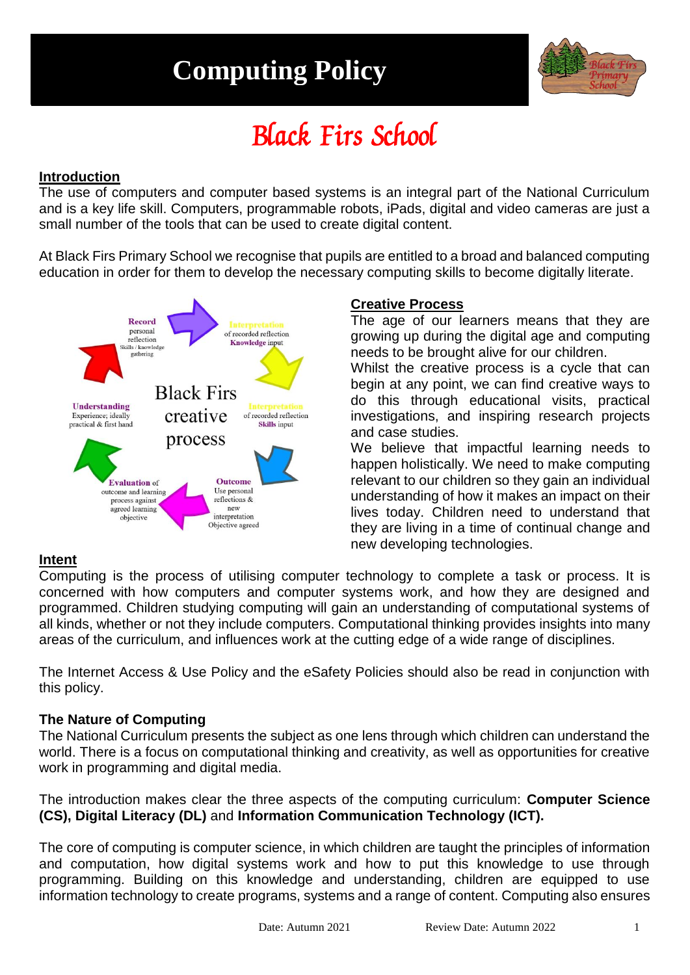# **Computing Policy**



# Black Firs School

#### **Introduction**

The use of computers and computer based systems is an integral part of the National Curriculum and is a key life skill. Computers, programmable robots, iPads, digital and video cameras are just a small number of the tools that can be used to create digital content.

At Black Firs Primary School we recognise that pupils are entitled to a broad and balanced computing education in order for them to develop the necessary computing skills to become digitally literate.



# **Creative Process**

The age of our learners means that they are growing up during the digital age and computing needs to be brought alive for our children.

Whilst the creative process is a cycle that can begin at any point, we can find creative ways to do this through educational visits, practical investigations, and inspiring research projects and case studies.

We believe that impactful learning needs to happen holistically. We need to make computing relevant to our children so they gain an individual understanding of how it makes an impact on their lives today. Children need to understand that they are living in a time of continual change and new developing technologies.

# **Intent**

Computing is the process of utilising computer technology to complete a task or process. It is concerned with how computers and computer systems work, and how they are designed and programmed. Children studying computing will gain an understanding of computational systems of all kinds, whether or not they include computers. Computational thinking provides insights into many areas of the curriculum, and influences work at the cutting edge of a wide range of disciplines.

The Internet Access & Use Policy and the eSafety Policies should also be read in conjunction with this policy.

# **The Nature of Computing**

The National Curriculum presents the subject as one lens through which children can understand the world. There is a focus on computational thinking and creativity, as well as opportunities for creative work in programming and digital media.

The introduction makes clear the three aspects of the computing curriculum: **Computer Science (CS), Digital Literacy (DL)** and **Information Communication Technology (ICT).**

The core of computing is computer science, in which children are taught the principles of information and computation, how digital systems work and how to put this knowledge to use through programming. Building on this knowledge and understanding, children are equipped to use information technology to create programs, systems and a range of content. Computing also ensures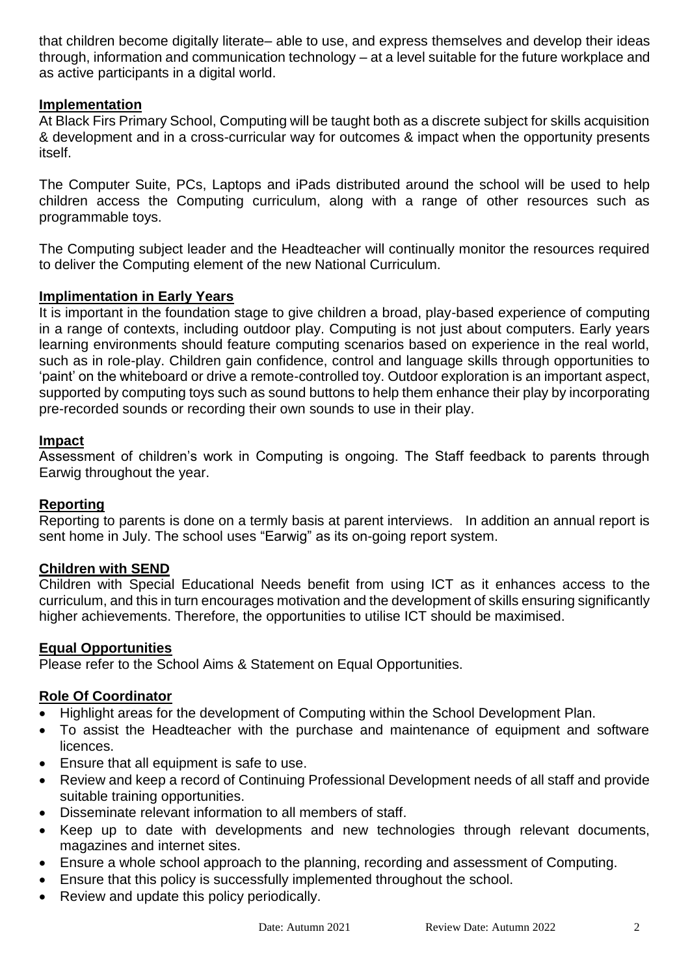that children become digitally literate– able to use, and express themselves and develop their ideas through, information and communication technology – at a level suitable for the future workplace and as active participants in a digital world.

#### **Implementation**

At Black Firs Primary School, Computing will be taught both as a discrete subject for skills acquisition & development and in a cross-curricular way for outcomes & impact when the opportunity presents itself.

The Computer Suite, PCs, Laptops and iPads distributed around the school will be used to help children access the Computing curriculum, along with a range of other resources such as programmable toys.

The Computing subject leader and the Headteacher will continually monitor the resources required to deliver the Computing element of the new National Curriculum.

#### **Implimentation in Early Years**

It is important in the foundation stage to give children a broad, play-based experience of computing in a range of contexts, including outdoor play. Computing is not just about computers. Early years learning environments should feature computing scenarios based on experience in the real world, such as in role-play. Children gain confidence, control and language skills through opportunities to 'paint' on the whiteboard or drive a remote-controlled toy. Outdoor exploration is an important aspect, supported by computing toys such as sound buttons to help them enhance their play by incorporating pre-recorded sounds or recording their own sounds to use in their play.

#### **Impact**

Assessment of children's work in Computing is ongoing. The Staff feedback to parents through Earwig throughout the year.

#### **Reporting**

Reporting to parents is done on a termly basis at parent interviews. In addition an annual report is sent home in July. The school uses "Earwig" as its on-going report system.

#### **Children with SEND**

Children with Special Educational Needs benefit from using ICT as it enhances access to the curriculum, and this in turn encourages motivation and the development of skills ensuring significantly higher achievements. Therefore, the opportunities to utilise ICT should be maximised.

#### **Equal Opportunities**

Please refer to the School Aims & Statement on Equal Opportunities.

#### **Role Of Coordinator**

- Highlight areas for the development of Computing within the School Development Plan.
- To assist the Headteacher with the purchase and maintenance of equipment and software licences.
- Ensure that all equipment is safe to use.
- Review and keep a record of Continuing Professional Development needs of all staff and provide suitable training opportunities.
- Disseminate relevant information to all members of staff.
- Keep up to date with developments and new technologies through relevant documents, magazines and internet sites.
- Ensure a whole school approach to the planning, recording and assessment of Computing.
- Ensure that this policy is successfully implemented throughout the school.
- Review and update this policy periodically.